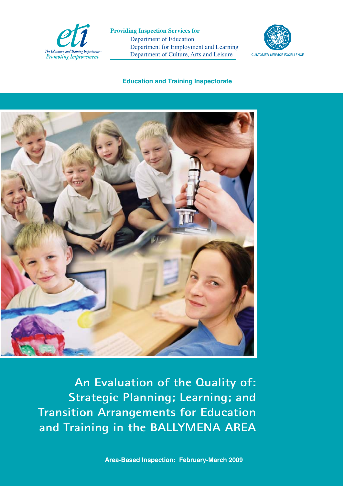

 Department of Education Department for Employment and Learning Department of Culture, Arts and Leisure **Providing Inspection Services for**



### **Education and Training Inspectorate**



**An Evaluation of the Quality of: Strategic Planning; Learning; and Transition Arrangements for Education and Training in the BALLYMENA AREA**

**Area-Based Inspection: February-March 2009**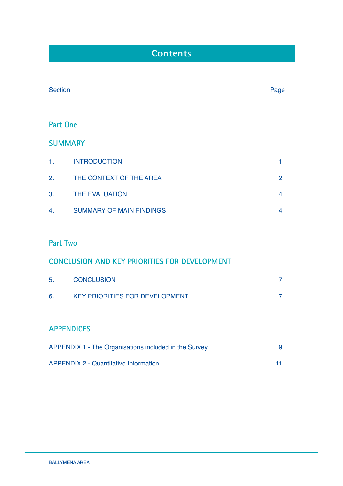# **Contents**

| <b>Section</b>  |                                                      | Page           |
|-----------------|------------------------------------------------------|----------------|
| <b>Part One</b> |                                                      |                |
| <b>SUMMARY</b>  |                                                      |                |
| 1.              | <b>INTRODUCTION</b>                                  | 1              |
| 2.              | THE CONTEXT OF THE AREA                              | $\overline{2}$ |
| 3.              | THE EVALUATION                                       | 4              |
| 4.              | <b>SUMMARY OF MAIN FINDINGS</b>                      | 4              |
|                 |                                                      |                |
| <b>Part Two</b> |                                                      |                |
|                 | <b>CONCLUSION AND KEY PRIORITIES FOR DEVELOPMENT</b> |                |
| 5.              | <b>CONCLUSION</b>                                    | 7              |

## **APPENDICES**

| APPENDIX 1 - The Organisations included in the Survey |     |
|-------------------------------------------------------|-----|
| <b>APPENDIX 2 - Quantitative Information</b>          | -11 |

6. KEY PRIORITIES FOR DEVELOPMENT 7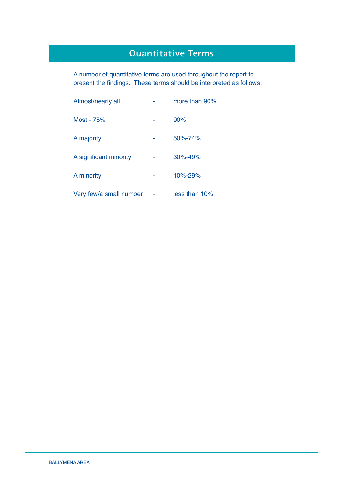# **Quantitative Terms**

 A number of quantitative terms are used throughout the report to present the findings. These terms should be interpreted as follows:

| Almost/nearly all       |   | more than 90%    |
|-------------------------|---|------------------|
| Most - 75%              |   | 90%              |
| A majority              | ۰ | $50\% - 74\%$    |
| A significant minority  |   | $30\% - 49\%$    |
| A minority              |   | $10\% - 29\%$    |
| Very few/a small number |   | $less than 10\%$ |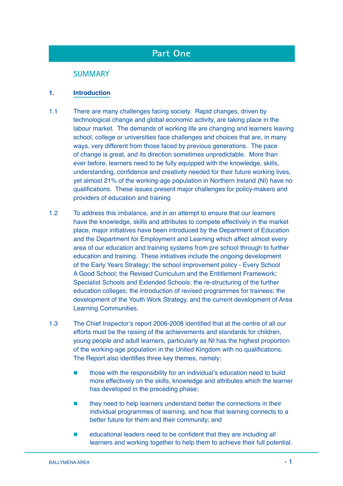# **Part One**

### **SUMMARY**

### **1. Introduction**

- 1.1 There are many challenges facing society. Rapid changes, driven by technological change and global economic activity, are taking place in the labour market. The demands of working life are changing and learners leaving school, college or universities face challenges and choices that are, in many ways, very different from those faced by previous generations. The pace of change is great, and its direction sometimes unpredictable. More than ever before, learners need to be fully equipped with the knowledge, skills, understanding, confidence and creativity needed for their future working lives, yet almost 21% of the working-age population in Northern Ireland (NI) have no qualifications. These issues present major challenges for policy-makers and providers of education and training
- 1.2 To address this imbalance, and in an attempt to ensure that our learners have the knowledge, skills and attributes to compete effectively in the market place, major initiatives have been introduced by the Department of Education and the Department for Employment and Learning which affect almost every area of our education and training systems from pre school through to further education and training. These initiatives include the ongoing development of the Early Years Strategy; the school improvement policy - Every School A Good School; the Revised Curriculum and the Entitlement Framework; Specialist Schools and Extended Schools; the re-structuring of the further education colleges; the introduction of revised programmes for trainees; the development of the Youth Work Strategy, and the current development of Area Learning Communities.
- 1.3 The Chief Inspector's report 2006-2008 identified that at the centre of all our efforts must be the raising of the achievements and standards for children, young people and adult learners, particularly as NI has the highest proportion of the working-age population in the United Kingdom with no qualifications. The Report also identifies three key themes, namely:
	- **those with the responsibility for an individual's education need to build** more effectively on the skills, knowledge and attributes which the learner has developed in the preceding phase;
	- they need to help learners understand better the connections in their individual programmes of learning, and how that learning connects to a better future for them and their community; and
	- $\blacksquare$  educational leaders need to be confident that they are including all learners and working together to help them to achieve their full potential.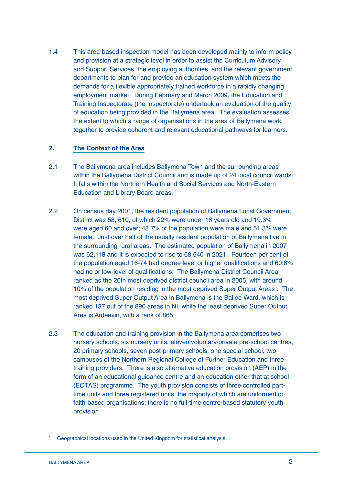1.4 This area-based inspection model has been developed mainly to inform policy and provision at a strategic level in order to assist the Curriculum Advisory and Support Services, the employing authorities, and the relevant government departments to plan for and provide an education system which meets the demands for a flexible appropriately trained workforce in a rapidly changing employment market. During February and March 2009, the Education and Training Inspectorate (the Inspectorate) undertook an evaluation of the quality of education being provided in the Ballymena area. The evaluation assesses the extent to which a range of organisations in the area of Ballymena work together to provide coherent and relevant educational pathways for learners.

### **2. The Context of the Area**

- 2.1 The Ballymena area includes Ballymena Town and the surrounding areas within the Ballymena District Council and is made up of 24 local council wards. It falls within the Northern Health and Social Services and North-Eastern Education and Library Board areas.
- 2.2 On census day 2001, the resident population of Ballymena Local Government District was 58, 610, of which 22% were under 16 years old and 19.3% were aged 60 and over; 48.7% of the population were male and 51.3% were female. Just over half of the usually resident population of Ballymena live in the surrounding rural areas. The estimated population of Ballymena in 2007 was 62,118 and it is expected to rise to 68,540 in 2021. Fourteen per cent of the population aged 16-74 had degree level or higher qualifications and 60.8% had no or low-level of qualifications. The Ballymena District Council Area ranked as the 20th most deprived district council area in 2005, with around 10% of the population residing in the most deprived Super Output Areas**<sup>1</sup>** . The most deprived Super Output Area in Ballymena is the Ballee Ward, which is ranked 137 out of the 890 areas in NI, while the least deprived Super Output Area is Ardeevin, with a rank of 865.
- 2.3 The education and training provision in the Ballymena area comprises two nursery schools, six nursery units, eleven voluntary/private pre-school centres, 20 primary schools, seven post-primary schools, one special school, two campuses of the Northern Regional College of Further Education and three training providers. There is also alternative education provision (AEP) in the form of an educational guidance centre and an education other that at school (EOTAS) programme. The youth provision consists of three controlled parttime units and three registered units, the majority of which are uniformed or faith-based organisations; there is no full-time centre-based statutory youth provision.

**<sup>1</sup>** Geographical locations used in the United Kingdom for statistical analysis.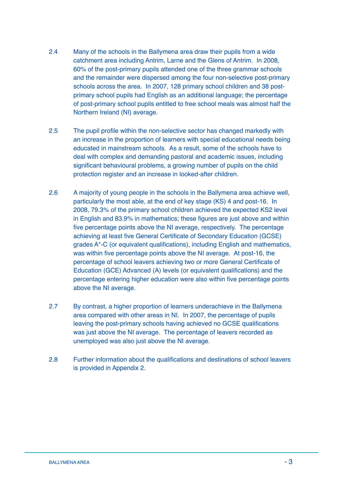- 2.4 Many of the schools in the Ballymena area draw their pupils from a wide catchment area including Antrim, Larne and the Glens of Antrim. In 2008, 60% of the post-primary pupils attended one of the three grammar schools and the remainder were dispersed among the four non-selective post-primary schools across the area. In 2007, 128 primary school children and 38 postprimary school pupils had English as an additional language; the percentage of post-primary school pupils entitled to free school meals was almost half the Northern Ireland (NI) average.
- 2.5 The pupil profile within the non-selective sector has changed markedly with an increase in the proportion of learners with special educational needs being educated in mainstream schools. As a result, some of the schools have to deal with complex and demanding pastoral and academic issues, including significant behavioural problems, a growing number of pupils on the child protection register and an increase in looked-after children.
- 2.6 A majority of young people in the schools in the Ballymena area achieve well, particularly the most able, at the end of key stage (KS) 4 and post-16. In 2008, 79.3% of the primary school children achieved the expected KS2 level in English and 83.9% in mathematics; these figures are just above and within five percentage points above the NI average, respectively. The percentage achieving at least five General Certificate of Secondary Education (GCSE) grades A\*-C (or equivalent qualifications), including English and mathematics, was within five percentage points above the NI average. At post-16, the percentage of school leavers achieving two or more General Certificate of Education (GCE) Advanced (A) levels (or equivalent qualifications) and the percentage entering higher education were also within five percentage points above the NI average.
- 2.7 By contrast, a higher proportion of learners underachieve in the Ballymena area compared with other areas in NI. In 2007, the percentage of pupils leaving the post-primary schools having achieved no GCSE qualifications was just above the NI average. The percentage of leavers recorded as unemployed was also just above the NI average.
- 2.8 Further information about the qualifications and destinations of school leavers is provided in Appendix 2.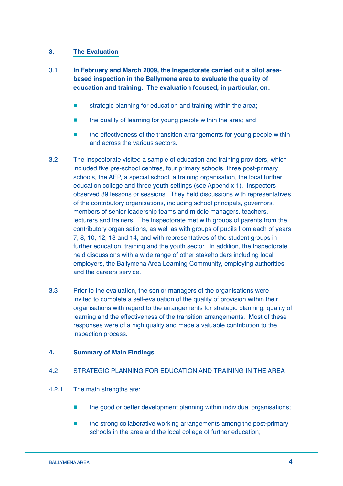### **3. The Evaluation**

- 3.1 **In February and March 2009, the Inspectorate carried out a pilot areabased inspection in the Ballymena area to evaluate the quality of education and training. The evaluation focused, in particular, on:**
	- strategic planning for education and training within the area;
	- the quality of learning for young people within the area; and
	- **the effectiveness of the transition arrangements for young people within** and across the various sectors.
- 3.2 The Inspectorate visited a sample of education and training providers, which included five pre-school centres, four primary schools, three post-primary schools, the AEP, a special school, a training organisation, the local further education college and three youth settings (see Appendix 1). Inspectors observed 89 lessons or sessions. They held discussions with representatives of the contributory organisations, including school principals, governors, members of senior leadership teams and middle managers, teachers, lecturers and trainers. The Inspectorate met with groups of parents from the contributory organisations, as well as with groups of pupils from each of years 7, 8, 10, 12, 13 and 14, and with representatives of the student groups in further education, training and the youth sector. In addition, the Inspectorate held discussions with a wide range of other stakeholders including local employers, the Ballymena Area Learning Community, employing authorities and the careers service.
- 3.3 Prior to the evaluation, the senior managers of the organisations were invited to complete a self-evaluation of the quality of provision within their organisations with regard to the arrangements for strategic planning, quality of learning and the effectiveness of the transition arrangements. Most of these responses were of a high quality and made a valuable contribution to the inspection process.

### **4. Summary of Main Findings**

### 4.2 STRATEGIC PLANNING FOR EDUCATION AND TRAINING IN THE AREA

- 4.2.1 The main strengths are:
	- the good or better development planning within individual organisations;
	- the strong collaborative working arrangements among the post-primary schools in the area and the local college of further education;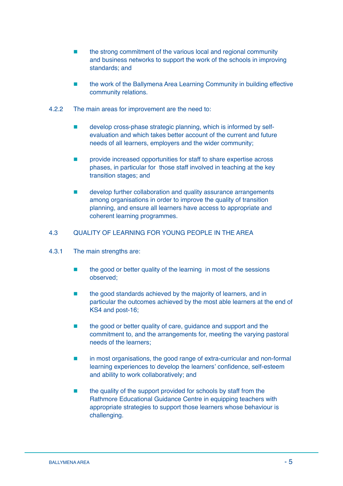- the strong commitment of the various local and regional community and business networks to support the work of the schools in improving standards; and
- **EXECUTE:** the work of the Ballymena Area Learning Community in building effective community relations.
- 4.2.2 The main areas for improvement are the need to:
	- develop cross-phase strategic planning, which is informed by selfevaluation and which takes better account of the current and future needs of all learners, employers and the wider community;
	- **EXECUTE:** provide increased opportunities for staff to share expertise across phases, in particular for those staff involved in teaching at the key transition stages; and
	- **EXECUTE:** develop further collaboration and quality assurance arrangements among organisations in order to improve the quality of transition planning, and ensure all learners have access to appropriate and coherent learning programmes.

### 4.3 QUALITY OF LEARNING FOR YOUNG PEOPLE IN THE AREA

- 4.3.1 The main strengths are:
	- the good or better quality of the learning in most of the sessions observed;
	- **the good standards achieved by the majority of learners, and in** particular the outcomes achieved by the most able learners at the end of KS4 and post-16;
	- the good or better quality of care, guidance and support and the commitment to, and the arrangements for, meeting the varying pastoral needs of the learners;
	- **In most organisations, the good range of extra-curricular and non-formal** learning experiences to develop the learners' confidence, self-esteem and ability to work collaboratively; and
	- the quality of the support provided for schools by staff from the Rathmore Educational Guidance Centre in equipping teachers with appropriate strategies to support those learners whose behaviour is challenging.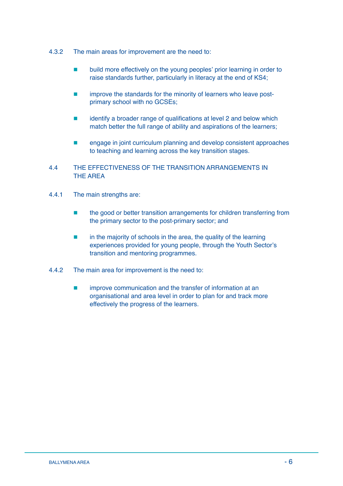- 4.3.2 The main areas for improvement are the need to:
	- $\blacksquare$  build more effectively on the young peoples' prior learning in order to raise standards further, particularly in literacy at the end of KS4;
	- **EXECUTE:** improve the standards for the minority of learners who leave postprimary school with no GCSEs;
	- $\blacksquare$  identify a broader range of qualifications at level 2 and below which match better the full range of ability and aspirations of the learners;
	- **EXECUTE:** engage in joint curriculum planning and develop consistent approaches to teaching and learning across the key transition stages.

### 4.4 THE EFFECTIVENESS OF THE TRANSITION ARRANGEMENTS IN THE AREA

- 4.4.1 The main strengths are:
	- the good or better transition arrangements for children transferring from the primary sector to the post-primary sector; and
	- $\blacksquare$  in the majority of schools in the area, the quality of the learning experiences provided for young people, through the Youth Sector's transition and mentoring programmes.
- 4.4.2 The main area for improvement is the need to:
	- **EXECUTE:** improve communication and the transfer of information at an organisational and area level in order to plan for and track more effectively the progress of the learners.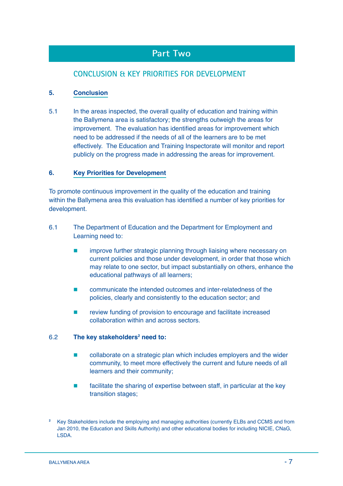## **Part Two**

## **CONCLUSION & KEY PRIORITIES FOR DEVELOPMENT**

### **5. Conclusion**

5.1 In the areas inspected, the overall quality of education and training within the Ballymena area is satisfactory; the strengths outweigh the areas for improvement. The evaluation has identified areas for improvement which need to be addressed if the needs of all of the learners are to be met effectively. The Education and Training Inspectorate will monitor and report publicly on the progress made in addressing the areas for improvement.

### **6. Key Priorities for Development**

To promote continuous improvement in the quality of the education and training within the Ballymena area this evaluation has identified a number of key priorities for development.

- 6.1 The Department of Education and the Department for Employment and Learning need to:
	- **EXECUTE:** improve further strategic planning through liaising where necessary on current policies and those under development, in order that those which may relate to one sector, but impact substantially on others, enhance the educational pathways of all learners;
	- communicate the intended outcomes and inter-relatedness of the policies, clearly and consistently to the education sector; and
	- **Fact and review funding of provision to encourage and facilitate increased** collaboration within and across sectors.

### 6.2 The key stakeholders<sup>2</sup> need to:

- **EXECOLERT** collaborate on a strategic plan which includes employers and the wider community, to meet more effectively the current and future needs of all learners and their community;
- facilitate the sharing of expertise between staff, in particular at the key transition stages;

**<sup>2</sup>** Key Stakeholders include the employing and managing authorities (currently ELBs and CCMS and from Jan 2010, the Education and Skills Authority) and other educational bodies for including NICIE, CNaG, LSDA.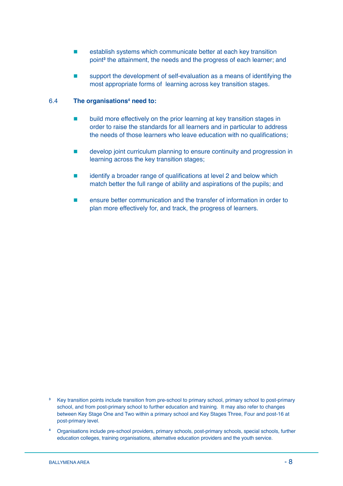- establish systems which communicate better at each key transition point**<sup>3</sup>** the attainment, the needs and the progress of each learner; and
- support the development of self-evaluation as a means of identifying the most appropriate forms of learning across key transition stages.

#### 6.4 **The organisations4 need to:**

- **EXECUTE:** build more effectively on the prior learning at key transition stages in order to raise the standards for all learners and in particular to address the needs of those learners who leave education with no qualifications;
- develop joint curriculum planning to ensure continuity and progression in learning across the key transition stages;
- $\blacksquare$  identify a broader range of qualifications at level 2 and below which match better the full range of ability and aspirations of the pupils; and
- ensure better communication and the transfer of information in order to plan more effectively for, and track, the progress of learners.

- **3** Key transition points include transition from pre-school to primary school, primary school to post-primary school, and from post-primary school to further education and training. It may also refer to changes between Key Stage One and Two within a primary school and Key Stages Three, Four and post-16 at post-primary level.
- **4** Organisations include pre-school providers, primary schools, post-primary schools, special schools, further education colleges, training organisations, alternative education providers and the youth service.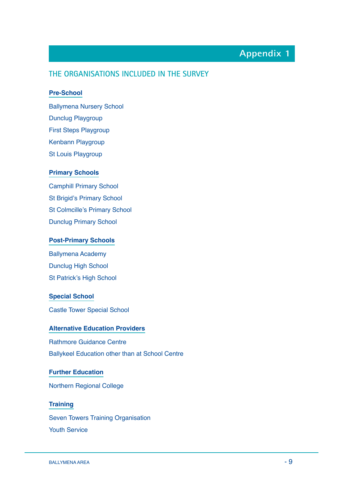# **Appendix 1**

### **THE ORGANISATIONS INCLUDED IN THE SURVEY**

### **Pre-School**

Ballymena Nursery School Dunclug Playgroup First Steps Playgroup Kenbann Playgroup St Louis Playgroup

### **Primary Schools**

Camphill Primary School St Brigid's Primary School St Colmcille's Primary School Dunclug Primary School

#### **Post-Primary Schools**

Ballymena Academy Dunclug High School St Patrick's High School

### **Special School**

Castle Tower Special School

### **Alternative Education Providers**

Rathmore Guidance Centre Ballykeel Education other than at School Centre

### **Further Education**

Northern Regional College

### **Training**

Seven Towers Training Organisation Youth Service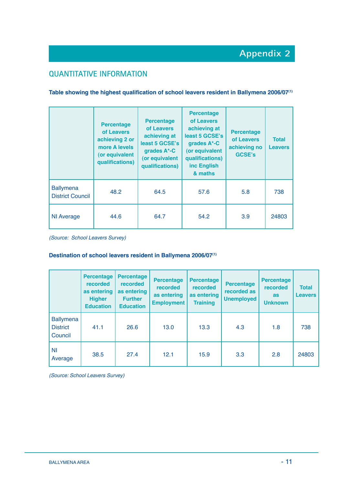## **QUANTITATIVE INFORMATION**

### Table showing the highest qualification of school leavers resident in Ballymena 2006/07<sup>(1)</sup>

|                                             | <b>Percentage</b><br>of Leavers<br>achieving 2 or<br>more A levels<br>(or equivalent<br>qualifications) | <b>Percentage</b><br>of Leavers<br>achieving at<br>least 5 GCSE's<br>grades A*-C<br>(or equivalent<br>qualifications) | <b>Percentage</b><br>of Leavers<br>achieving at<br>least 5 GCSE's<br>grades A*-C<br>(or equivalent<br>qualifications)<br>inc English<br>& maths | <b>Percentage</b><br>of Leavers<br>achieving no<br>GCSE's | <b>Total</b><br><b>Leavers</b> |
|---------------------------------------------|---------------------------------------------------------------------------------------------------------|-----------------------------------------------------------------------------------------------------------------------|-------------------------------------------------------------------------------------------------------------------------------------------------|-----------------------------------------------------------|--------------------------------|
| <b>Ballymena</b><br><b>District Council</b> | 48.2                                                                                                    | 64.5                                                                                                                  | 57.6                                                                                                                                            | 5.8                                                       | 738                            |
| <b>NI Average</b>                           | 44.6                                                                                                    | 64.7                                                                                                                  | 54.2                                                                                                                                            | 3.9                                                       | 24803                          |

(Source: School Leavers Survey)

#### **Destination of school leavers resident in Ballymena 2006/07(1)**

|                                                | <b>Percentage</b><br>recorded<br>as entering<br><b>Higher</b><br><b>Education</b> | <b>Percentage</b><br>recorded<br>as entering<br><b>Further</b><br><b>Education</b> | <b>Percentage</b><br>recorded<br>as entering<br><b>Employment</b> | <b>Percentage</b><br>recorded<br>as entering<br><b>Training</b> | <b>Percentage</b><br>recorded as<br><b>Unemployed</b> | <b>Percentage</b><br>recorded<br><b>as</b><br><b>Unknown</b> | <b>Total</b><br><b>Leavers</b> |
|------------------------------------------------|-----------------------------------------------------------------------------------|------------------------------------------------------------------------------------|-------------------------------------------------------------------|-----------------------------------------------------------------|-------------------------------------------------------|--------------------------------------------------------------|--------------------------------|
| <b>Ballymena</b><br><b>District</b><br>Council | 41.1                                                                              | 26.6                                                                               | 13.0                                                              | 13.3                                                            | 4.3                                                   | 1.8                                                          | 738                            |
| <b>NI</b><br>Average                           | 38.5                                                                              | 27.4                                                                               | 12.1                                                              | 15.9                                                            | 3.3                                                   | 2.8                                                          | 24803                          |

(Source: School Leavers Survey)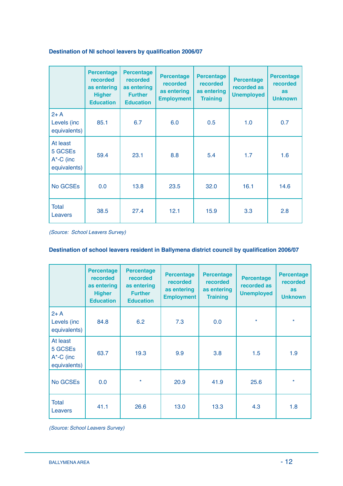### **Destination of NI school leavers by qualification 2006/07**

|                                                       | <b>Percentage</b><br>recorded<br>as entering<br><b>Higher</b><br><b>Education</b> | <b>Percentage</b><br><b>recorded</b><br>as entering<br><b>Further</b><br><b>Education</b> | <b>Percentage</b><br><b>recorded</b><br>as entering<br><b>Employment</b> | <b>Percentage</b><br><b>recorded</b><br>as entering<br><b>Training</b> | <b>Percentage</b><br>recorded as<br><b>Unemployed</b> | <b>Percentage</b><br><b>recorded</b><br><b>as</b><br><b>Unknown</b> |
|-------------------------------------------------------|-----------------------------------------------------------------------------------|-------------------------------------------------------------------------------------------|--------------------------------------------------------------------------|------------------------------------------------------------------------|-------------------------------------------------------|---------------------------------------------------------------------|
| $2+A$<br>Levels (inc.<br>equivalents)                 | 85.1                                                                              | 6.7                                                                                       | 6.0                                                                      | 0.5                                                                    | 1.0                                                   | 0.7                                                                 |
| At least<br>5 GCSEs<br>$A^*$ -C (inc.<br>equivalents) | 59.4                                                                              | 23.1                                                                                      | 8.8                                                                      | 5.4                                                                    | 1.7                                                   | 1.6                                                                 |
| No GCSEs                                              | 0.0                                                                               | 13.8                                                                                      | 23.5                                                                     | 32.0                                                                   | 16.1                                                  | 14.6                                                                |
| <b>Total</b><br>Leavers                               | 38.5                                                                              | 27.4                                                                                      | 12.1                                                                     | 15.9                                                                   | 3.3                                                   | 2.8                                                                 |

(Source: School Leavers Survey)

### **Destination of school leavers resident in Ballymena district council by qualification 2006/07**

|                                                       | <b>Percentage</b><br><b>recorded</b><br>as entering<br><b>Higher</b><br><b>Education</b> | <b>Percentage</b><br><b>recorded</b><br>as entering<br><b>Further</b><br><b>Education</b> | <b>Percentage</b><br>recorded<br>as entering<br><b>Employment</b> | <b>Percentage</b><br><b>recorded</b><br>as entering<br><b>Training</b> | <b>Percentage</b><br>recorded as<br><b>Unemployed</b> | <b>Percentage</b><br>recorded<br>as<br><b>Unknown</b> |
|-------------------------------------------------------|------------------------------------------------------------------------------------------|-------------------------------------------------------------------------------------------|-------------------------------------------------------------------|------------------------------------------------------------------------|-------------------------------------------------------|-------------------------------------------------------|
| $2+A$<br>Levels (inc<br>equivalents)                  | 84.8                                                                                     | 6.2                                                                                       | 7.3                                                               | 0.0                                                                    | $\star$                                               | $\star$                                               |
| At least<br>5 GCSEs<br>$A^*$ -C (inc.<br>equivalents) | 63.7                                                                                     | 19.3                                                                                      | 9.9                                                               | 3.8                                                                    | 1.5                                                   | 1.9                                                   |
| No GCSEs                                              | 0.0                                                                                      | $\star$                                                                                   | 20.9                                                              | 41.9                                                                   | 25.6                                                  | $\star$                                               |
| <b>Total</b><br>Leavers                               | 41.1                                                                                     | 26.6                                                                                      | 13.0                                                              | 13.3                                                                   | 4.3                                                   | 1.8                                                   |

(Source: School Leavers Survey)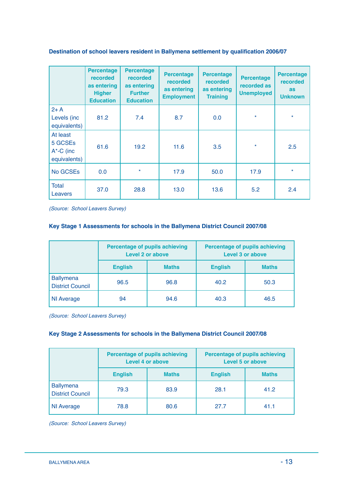### **Destination of school leavers resident in Ballymena settlement by qualification 2006/07**

|                                                       | <b>Percentage</b><br><b>recorded</b><br>as entering<br><b>Higher</b><br><b>Education</b> | <b>Percentage</b><br><b>recorded</b><br>as entering<br><b>Further</b><br><b>Education</b> | <b>Percentage</b><br><b>recorded</b><br>as entering<br><b>Employment</b> | <b>Percentage</b><br><b>recorded</b><br>as entering<br><b>Training</b> | <b>Percentage</b><br>recorded as<br><b>Unemployed</b> | <b>Percentage</b><br>recorded<br><b>as</b><br><b>Unknown</b> |
|-------------------------------------------------------|------------------------------------------------------------------------------------------|-------------------------------------------------------------------------------------------|--------------------------------------------------------------------------|------------------------------------------------------------------------|-------------------------------------------------------|--------------------------------------------------------------|
| $2+A$<br>Levels (inc<br>equivalents)                  | 81.2                                                                                     | 7.4                                                                                       | 8.7                                                                      | 0.0                                                                    | $\star$                                               | $\star$                                                      |
| At least<br>5 GCSEs<br>$A^*$ -C (inc.<br>equivalents) | 61.6                                                                                     | 19.2                                                                                      | 11.6                                                                     | 3.5                                                                    | $\star$                                               | 2.5                                                          |
| No GCSEs                                              | 0.0                                                                                      | $\star$                                                                                   | 17.9                                                                     | 50.0                                                                   | 17.9                                                  | $\star$                                                      |
| <b>Total</b><br>Leavers                               | 37.0                                                                                     | 28.8                                                                                      | 13.0                                                                     | 13.6                                                                   | 5.2                                                   | 2.4                                                          |

(Source: School Leavers Survey)

#### **Key Stage 1 Assessments for schools in the Ballymena District Council 2007/08**

|                                             |                                | <b>Percentage of pupils achieving</b><br>Level 2 or above | <b>Percentage of pupils achieving</b><br>Level 3 or above |              |  |
|---------------------------------------------|--------------------------------|-----------------------------------------------------------|-----------------------------------------------------------|--------------|--|
|                                             | <b>English</b><br><b>Maths</b> |                                                           | <b>English</b>                                            | <b>Maths</b> |  |
| <b>Ballymena</b><br><b>District Council</b> | 96.5                           | 96.8                                                      | 40.2                                                      | 50.3         |  |
| <b>NI Average</b>                           | 94                             | 94.6                                                      | 40.3                                                      | 46.5         |  |

(Source: School Leavers Survey)

### **Key Stage 2 Assessments for schools in the Ballymena District Council 2007/08**

|                                             |                                | <b>Percentage of pupils achieving</b><br><b>Level 4 or above</b> | <b>Percentage of pupils achieving</b><br><b>Level 5 or above</b> |              |  |
|---------------------------------------------|--------------------------------|------------------------------------------------------------------|------------------------------------------------------------------|--------------|--|
|                                             | <b>English</b><br><b>Maths</b> |                                                                  | <b>English</b>                                                   | <b>Maths</b> |  |
| <b>Ballymena</b><br><b>District Council</b> | 79.3                           | 83.9                                                             | 28.1                                                             | 41.2         |  |
| <b>NI Average</b>                           | 78.8                           | 80.6                                                             | 27.7                                                             | 41.1         |  |

(Source: School Leavers Survey)